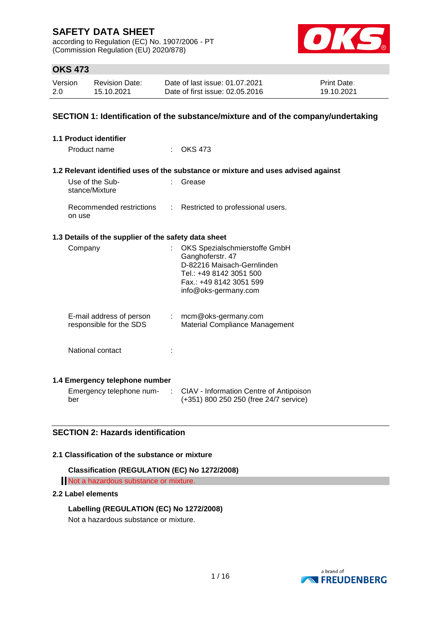according to Regulation (EC) No. 1907/2006 - PT (Commission Regulation (EU) 2020/878)



### **OKS 473**

| Version | <b>Revision Date:</b> | Date of last issue: 01.07.2021  | <b>Print Date:</b> |
|---------|-----------------------|---------------------------------|--------------------|
| 2.0     | 15.10.2021            | Date of first issue: 02.05.2016 | 19.10.2021         |

### **SECTION 1: Identification of the substance/mixture and of the company/undertaking**

| 1.1 Product identifier                                    |                                                                                                                                                               |
|-----------------------------------------------------------|---------------------------------------------------------------------------------------------------------------------------------------------------------------|
| Product name                                              | OKS 473                                                                                                                                                       |
|                                                           | 1.2 Relevant identified uses of the substance or mixture and uses advised against                                                                             |
| Use of the Sub-<br>stance/Mixture                         | Grease                                                                                                                                                        |
| Recommended restrictions<br>÷<br>on use                   | Restricted to professional users.                                                                                                                             |
| 1.3 Details of the supplier of the safety data sheet      |                                                                                                                                                               |
| Company                                                   | OKS Spezialschmierstoffe GmbH<br>Ganghoferstr. 47<br>D-82216 Maisach-Gernlinden<br>Tel.: +49 8142 3051 500<br>Fax.: +49 8142 3051 599<br>info@oks-germany.com |
| E-mail address of person<br>÷.<br>responsible for the SDS | mcm@oks-germany.com<br><b>Material Compliance Management</b>                                                                                                  |
| National contact                                          |                                                                                                                                                               |
| 1.4 Emergency telephone number                            |                                                                                                                                                               |
| Emergency telephone num-<br>÷<br>ber                      | CIAV - Information Centre of Antipoison<br>(+351) 800 250 250 (free 24/7 service)                                                                             |

### **SECTION 2: Hazards identification**

#### **2.1 Classification of the substance or mixture**

```
Classification (REGULATION (EC) No 1272/2008)
Not a hazardous substance or mixture.
```
#### **2.2 Label elements**

**Labelling (REGULATION (EC) No 1272/2008)** Not a hazardous substance or mixture.

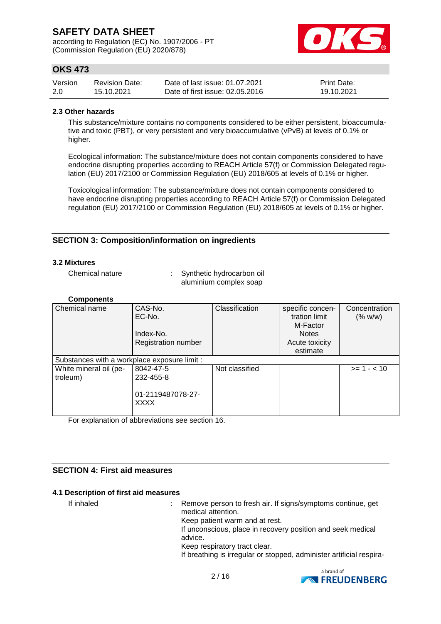according to Regulation (EC) No. 1907/2006 - PT (Commission Regulation (EU) 2020/878)



# **OKS 473**

| Version | <b>Revision Date:</b> | Date of last issue: 01.07.2021  | <b>Print Date:</b> |
|---------|-----------------------|---------------------------------|--------------------|
| 2.0     | 15.10.2021            | Date of first issue: 02.05.2016 | 19.10.2021         |

#### **2.3 Other hazards**

This substance/mixture contains no components considered to be either persistent, bioaccumulative and toxic (PBT), or very persistent and very bioaccumulative (vPvB) at levels of 0.1% or higher.

Ecological information: The substance/mixture does not contain components considered to have endocrine disrupting properties according to REACH Article 57(f) or Commission Delegated regulation (EU) 2017/2100 or Commission Regulation (EU) 2018/605 at levels of 0.1% or higher.

Toxicological information: The substance/mixture does not contain components considered to have endocrine disrupting properties according to REACH Article 57(f) or Commission Delegated regulation (EU) 2017/2100 or Commission Regulation (EU) 2018/605 at levels of 0.1% or higher.

### **SECTION 3: Composition/information on ingredients**

#### **3.2 Mixtures**

Chemical nature : Synthetic hydrocarbon oil aluminium complex soap

#### **Components**

| Chemical name                                | CAS-No.<br>EC-No.                | Classification | specific concen-<br>tration limit | Concentration<br>(% w/w) |
|----------------------------------------------|----------------------------------|----------------|-----------------------------------|--------------------------|
|                                              |                                  |                | M-Factor                          |                          |
|                                              | Index-No.                        |                | <b>Notes</b>                      |                          |
|                                              | <b>Registration number</b>       |                | Acute toxicity                    |                          |
|                                              |                                  |                | estimate                          |                          |
| Substances with a workplace exposure limit : |                                  |                |                                   |                          |
| White mineral oil (pe-                       | 8042-47-5                        | Not classified |                                   | $>= 1 - < 10$            |
| troleum)                                     | 232-455-8                        |                |                                   |                          |
|                                              | 01-2119487078-27-<br><b>XXXX</b> |                |                                   |                          |

For explanation of abbreviations see section 16.

### **SECTION 4: First aid measures**

#### **4.1 Description of first aid measures**

If inhaled : Remove person to fresh air. If signs/symptoms continue, get medical attention. Keep patient warm and at rest. If unconscious, place in recovery position and seek medical advice. Keep respiratory tract clear. If breathing is irregular or stopped, administer artificial respira-

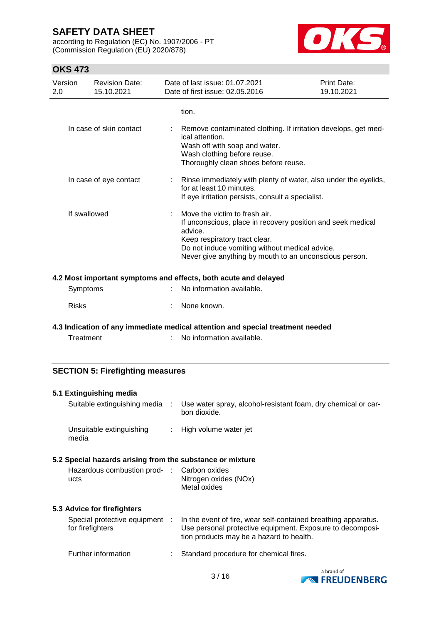according to Regulation (EC) No. 1907/2006 - PT (Commission Regulation (EU) 2020/878)



### **OKS 473**

| Version<br>2.0 | <b>Revision Date:</b><br>15.10.2021 | Date of last issue: 01.07.2021<br>Date of first issue: 02.05.2016                                                                                                                                                                                    | Print Date:<br>19.10.2021 |
|----------------|-------------------------------------|------------------------------------------------------------------------------------------------------------------------------------------------------------------------------------------------------------------------------------------------------|---------------------------|
|                |                                     | tion.                                                                                                                                                                                                                                                |                           |
|                | In case of skin contact             | Remove contaminated clothing. If irritation develops, get med-<br>ical attention.<br>Wash off with soap and water.<br>Wash clothing before reuse.<br>Thoroughly clean shoes before reuse.                                                            |                           |
|                | In case of eye contact              | : Rinse immediately with plenty of water, also under the eyelids,<br>for at least 10 minutes.<br>If eye irritation persists, consult a specialist.                                                                                                   |                           |
| If swallowed   |                                     | Move the victim to fresh air.<br>If unconscious, place in recovery position and seek medical<br>advice.<br>Keep respiratory tract clear.<br>Do not induce vomiting without medical advice.<br>Never give anything by mouth to an unconscious person. |                           |
|                |                                     | 4.2 Most important symptoms and effects, both acute and delayed                                                                                                                                                                                      |                           |
| Symptoms       |                                     | No information available.                                                                                                                                                                                                                            |                           |
| <b>Risks</b>   |                                     | None known.                                                                                                                                                                                                                                          |                           |

**4.3 Indication of any immediate medical attention and special treatment needed**

Treatment : No information available.

### **SECTION 5: Firefighting measures**

|      | 5.1 Extinguishing media                                   |                                                                                                                                                                         |
|------|-----------------------------------------------------------|-------------------------------------------------------------------------------------------------------------------------------------------------------------------------|
|      | Suitable extinguishing media :                            | Use water spray, alcohol-resistant foam, dry chemical or car-<br>bon dioxide.                                                                                           |
|      | Unsuitable extinguishing<br>media                         | : High volume water jet                                                                                                                                                 |
|      | 5.2 Special hazards arising from the substance or mixture |                                                                                                                                                                         |
| ucts | Hazardous combustion prod- : Carbon oxides                | Nitrogen oxides (NOx)<br>Metal oxides                                                                                                                                   |
|      | 5.3 Advice for firefighters                               |                                                                                                                                                                         |
|      | Special protective equipment :<br>for firefighters        | In the event of fire, wear self-contained breathing apparatus.<br>Use personal protective equipment. Exposure to decomposi-<br>tion products may be a hazard to health. |
|      | Further information                                       | Standard procedure for chemical fires.                                                                                                                                  |

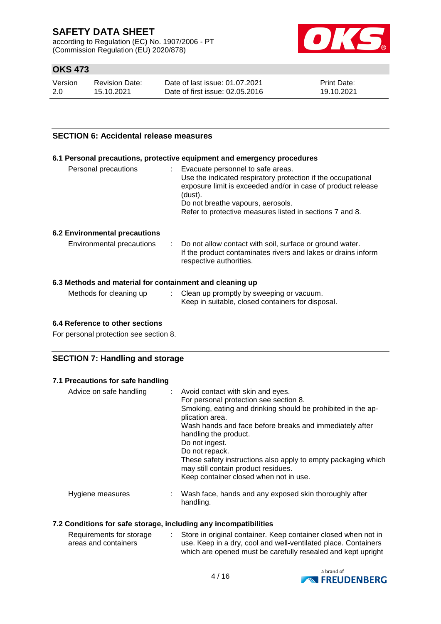according to Regulation (EC) No. 1907/2006 - PT (Commission Regulation (EU) 2020/878)



# **OKS 473**

| Version | <b>Revision Date:</b> | Date of last issue: 01.07.2021  | <b>Print Date:</b> |
|---------|-----------------------|---------------------------------|--------------------|
| 2.0     | 15.10.2021            | Date of first issue: 02.05.2016 | 19.10.2021         |

### **SECTION 6: Accidental release measures**

#### **6.1 Personal precautions, protective equipment and emergency procedures**

| Personal precautions | Evacuate personnel to safe areas.<br>Use the indicated respiratory protection if the occupational<br>exposure limit is exceeded and/or in case of product release<br>(dust).<br>Do not breathe vapours, aerosols.<br>Refer to protective measures listed in sections 7 and 8. |
|----------------------|-------------------------------------------------------------------------------------------------------------------------------------------------------------------------------------------------------------------------------------------------------------------------------|
|----------------------|-------------------------------------------------------------------------------------------------------------------------------------------------------------------------------------------------------------------------------------------------------------------------------|

#### **6.2 Environmental precautions**

| Environmental precautions | : Do not allow contact with soil, surface or ground water.<br>If the product contaminates rivers and lakes or drains inform |
|---------------------------|-----------------------------------------------------------------------------------------------------------------------------|
|                           | respective authorities.                                                                                                     |

#### **6.3 Methods and material for containment and cleaning up**

| Methods for cleaning up | Clean up promptly by sweeping or vacuum.          |
|-------------------------|---------------------------------------------------|
|                         | Keep in suitable, closed containers for disposal. |

#### **6.4 Reference to other sections**

For personal protection see section 8.

#### **SECTION 7: Handling and storage**

### **7.1 Precautions for safe handling**

| Advice on safe handling | : Avoid contact with skin and eyes.<br>For personal protection see section 8.<br>Smoking, eating and drinking should be prohibited in the ap-<br>plication area.<br>Wash hands and face before breaks and immediately after<br>handling the product.<br>Do not ingest.<br>Do not repack.<br>These safety instructions also apply to empty packaging which<br>may still contain product residues.<br>Keep container closed when not in use. |
|-------------------------|--------------------------------------------------------------------------------------------------------------------------------------------------------------------------------------------------------------------------------------------------------------------------------------------------------------------------------------------------------------------------------------------------------------------------------------------|
| Hygiene measures        | : Wash face, hands and any exposed skin thoroughly after<br>handling.                                                                                                                                                                                                                                                                                                                                                                      |

#### **7.2 Conditions for safe storage, including any incompatibilities**

| Requirements for storage | Store in original container. Keep container closed when not in |
|--------------------------|----------------------------------------------------------------|
| areas and containers     | use. Keep in a dry, cool and well-ventilated place. Containers |
|                          | which are opened must be carefully resealed and kept upright   |

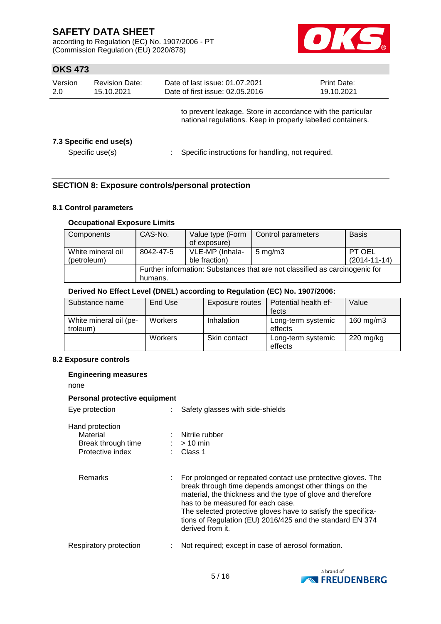according to Regulation (EC) No. 1907/2006 - PT (Commission Regulation (EU) 2020/878)



### **OKS 473**

| Version<br>2.0 | <b>Revision Date:</b><br>15.10.2021        | Date of last issue: 01.07.2021<br>Date of first issue: 02.05.2016                                                          | <b>Print Date:</b><br>19.10.2021 |  |
|----------------|--------------------------------------------|----------------------------------------------------------------------------------------------------------------------------|----------------------------------|--|
|                |                                            | to prevent leakage. Store in accordance with the particular<br>national regulations. Keep in properly labelled containers. |                                  |  |
|                | 7.3 Specific end use(s)<br>Specific use(s) | Specific instructions for handling, not required.                                                                          |                                  |  |

### **SECTION 8: Exposure controls/personal protection**

### **8.1 Control parameters**

### **Occupational Exposure Limits**

| Components        | CAS-No.                                                                     | Value type (Form | Control parameters | <b>Basis</b>       |  |  |
|-------------------|-----------------------------------------------------------------------------|------------------|--------------------|--------------------|--|--|
|                   |                                                                             | of exposure)     |                    |                    |  |  |
| White mineral oil | 8042-47-5                                                                   | VLE-MP (Inhala-  | $5 \text{ mg/m}$ 3 | PT OEL             |  |  |
| (petroleum)       |                                                                             | ble fraction)    |                    | $(2014 - 11 - 14)$ |  |  |
|                   | Further information: Substances that are not classified as carcinogenic for |                  |                    |                    |  |  |
|                   | humans.                                                                     |                  |                    |                    |  |  |

#### **Derived No Effect Level (DNEL) according to Regulation (EC) No. 1907/2006:**

| Substance name                     | End Use | <b>Exposure routes</b> | Potential health ef-          | Value               |
|------------------------------------|---------|------------------------|-------------------------------|---------------------|
|                                    |         |                        | fects                         |                     |
| White mineral oil (pe-<br>troleum) | Workers | Inhalation             | Long-term systemic<br>effects | 160 mg/m3           |
|                                    | Workers | Skin contact           | Long-term systemic<br>effects | $220 \text{ mg/kg}$ |

#### **8.2 Exposure controls**

### **Engineering measures** none

#### **Personal protective equipment** Eye protection : Safety glasses with side-shields

| <b>EVE DIVIECTION</b>                                                 | . Salety glasses with slue-shields                                                                                                                                                                                                                                                                                                                                           |
|-----------------------------------------------------------------------|------------------------------------------------------------------------------------------------------------------------------------------------------------------------------------------------------------------------------------------------------------------------------------------------------------------------------------------------------------------------------|
| Hand protection<br>Material<br>Break through time<br>Protective index | : Nitrile rubber<br>$:$ > 10 min<br>$\therefore$ Class 1                                                                                                                                                                                                                                                                                                                     |
| Remarks                                                               | For prolonged or repeated contact use protective gloves. The<br>break through time depends amongst other things on the<br>material, the thickness and the type of glove and therefore<br>has to be measured for each case.<br>The selected protective gloves have to satisfy the specifica-<br>tions of Regulation (EU) 2016/425 and the standard EN 374<br>derived from it. |
| Respiratory protection                                                | Not required; except in case of aerosol formation.                                                                                                                                                                                                                                                                                                                           |

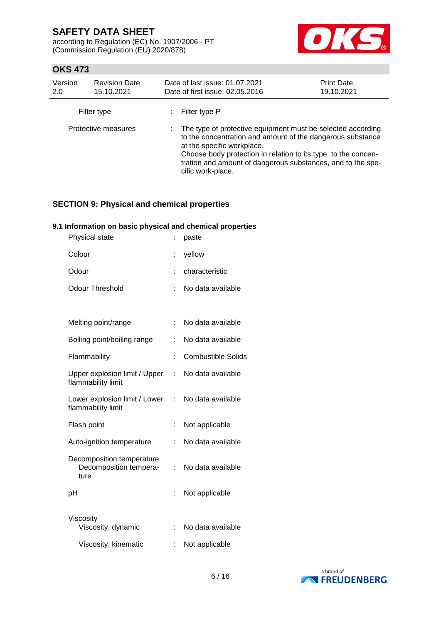according to Regulation (EC) No. 1907/2006 - PT (Commission Regulation (EU) 2020/878)



### **OKS 473**

| Version<br>2.0      | <b>Revision Date:</b><br>15.10.2021 | Date of last issue: 01.07.2021<br>Date of first issue: 02.05.2016                                                                                                                                                                                                                                               | <b>Print Date:</b><br>19.10.2021 |
|---------------------|-------------------------------------|-----------------------------------------------------------------------------------------------------------------------------------------------------------------------------------------------------------------------------------------------------------------------------------------------------------------|----------------------------------|
|                     | Filter type                         | Filter type P                                                                                                                                                                                                                                                                                                   |                                  |
| Protective measures |                                     | : The type of protective equipment must be selected according<br>to the concentration and amount of the dangerous substance<br>at the specific workplace.<br>Choose body protection in relation to its type, to the concen-<br>tration and amount of dangerous substances, and to the spe-<br>cific work-place. |                                  |

# **SECTION 9: Physical and chemical properties**

### **9.1 Information on basic physical and chemical properties**

| Physical state                                              |   | paste                     |
|-------------------------------------------------------------|---|---------------------------|
| Colour                                                      |   | yellow                    |
| Odour                                                       |   | characteristic            |
| Odour Threshold                                             | t | No data available         |
|                                                             |   |                           |
| Melting point/range                                         |   | No data available         |
| Boiling point/boiling range                                 |   | No data available         |
| Flammability                                                |   | <b>Combustible Solids</b> |
| Upper explosion limit / Upper<br>flammability limit         | ÷ | No data available         |
| Lower explosion limit / Lower<br>flammability limit         | ÷ | No data available         |
| Flash point                                                 |   | Not applicable            |
| Auto-ignition temperature                                   |   | No data available         |
| Decomposition temperature<br>Decomposition tempera-<br>ture |   | No data available         |
| рH                                                          |   | Not applicable            |
|                                                             |   |                           |
| Viscosity<br>Viscosity, dynamic                             |   | No data available         |
| Viscosity, kinematic                                        |   | Not applicable            |

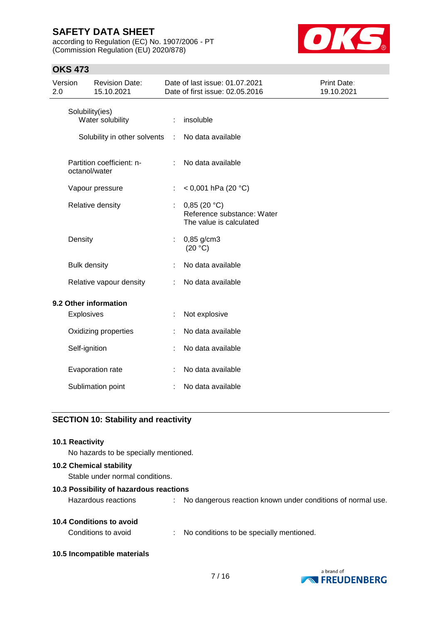according to Regulation (EC) No. 1907/2006 - PT (Commission Regulation (EU) 2020/878)



### **OKS 473**

| Version<br>2.0 |                     | <b>Revision Date:</b><br>15.10.2021 |   | Date of last issue: 01.07.2021<br>Date of first issue: 02.05.2016    | Print Date:<br>19.10.2021 |
|----------------|---------------------|-------------------------------------|---|----------------------------------------------------------------------|---------------------------|
|                | Solubility(ies)     | Water solubility                    |   | insoluble                                                            |                           |
|                |                     | Solubility in other solvents        | ÷ | No data available                                                    |                           |
|                | octanol/water       | Partition coefficient: n-           |   | No data available                                                    |                           |
|                |                     | Vapour pressure                     |   | < 0,001 hPa (20 $^{\circ}$ C)                                        |                           |
|                |                     | Relative density                    | ÷ | 0,85(20 °C)<br>Reference substance: Water<br>The value is calculated |                           |
|                | Density             |                                     | ÷ | $0,85$ g/cm3<br>(20 °C)                                              |                           |
|                | <b>Bulk density</b> |                                     |   | No data available                                                    |                           |
|                |                     | Relative vapour density             | ÷ | No data available                                                    |                           |
|                |                     | 9.2 Other information               |   |                                                                      |                           |
|                | Explosives          |                                     |   | Not explosive                                                        |                           |
|                |                     | Oxidizing properties                |   | No data available                                                    |                           |
|                | Self-ignition       |                                     |   | No data available                                                    |                           |
|                |                     | Evaporation rate                    |   | No data available                                                    |                           |
|                |                     | Sublimation point                   |   | No data available                                                    |                           |

# **SECTION 10: Stability and reactivity**

| <b>10.1 Reactivity</b>                                            |                                                             |
|-------------------------------------------------------------------|-------------------------------------------------------------|
| No hazards to be specially mentioned.                             |                                                             |
| <b>10.2 Chemical stability</b><br>Stable under normal conditions. |                                                             |
| 10.3 Possibility of hazardous reactions                           |                                                             |
| Hazardous reactions                                               | No dangerous reaction known under conditions of normal use. |
| 10.4 Conditions to avoid                                          |                                                             |
| Conditions to avoid                                               | : No conditions to be specially mentioned.                  |
| 10.5 Incompatible materials                                       |                                                             |

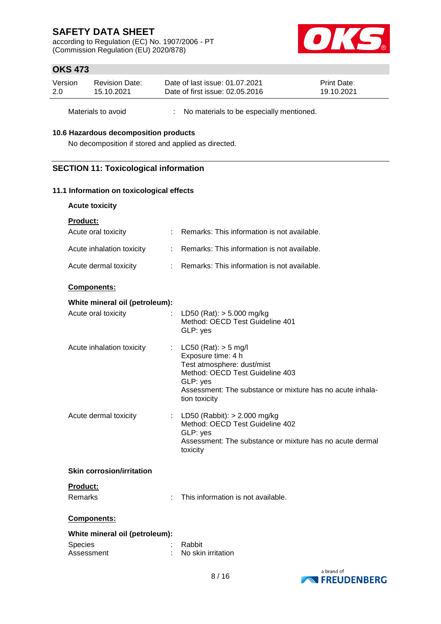according to Regulation (EC) No. 1907/2006 - PT (Commission Regulation (EU) 2020/878)



### **OKS 473**

| Version | Revision Date: | Date of last issue: 01.07.2021  | <b>Print Date:</b> |
|---------|----------------|---------------------------------|--------------------|
| 2.0     | 15.10.2021     | Date of first issue: 02.05.2016 | 19.10.2021         |

Materials to avoid : No materials to be especially mentioned.

#### **10.6 Hazardous decomposition products**

No decomposition if stored and applied as directed.

### **SECTION 11: Toxicological information**

### **11.1 Information on toxicological effects**

| Product:                         |                |                                                                                                                                                                                                           |
|----------------------------------|----------------|-----------------------------------------------------------------------------------------------------------------------------------------------------------------------------------------------------------|
| Acute oral toxicity              |                | Remarks: This information is not available.                                                                                                                                                               |
| Acute inhalation toxicity        | $\mathbb{R}^n$ | Remarks: This information is not available.                                                                                                                                                               |
| Acute dermal toxicity            | ÷              | Remarks: This information is not available.                                                                                                                                                               |
| <b>Components:</b>               |                |                                                                                                                                                                                                           |
| White mineral oil (petroleum):   |                |                                                                                                                                                                                                           |
| Acute oral toxicity              |                | LD50 (Rat): $> 5.000$ mg/kg<br>Method: OECD Test Guideline 401<br>GLP: yes                                                                                                                                |
| Acute inhalation toxicity        |                | : LC50 (Rat): $>$ 5 mg/l<br>Exposure time: 4 h<br>Test atmosphere: dust/mist<br>Method: OECD Test Guideline 403<br>GLP: yes<br>Assessment: The substance or mixture has no acute inhala-<br>tion toxicity |
| Acute dermal toxicity            |                | : LD50 (Rabbit): $> 2.000$ mg/kg<br>Method: OECD Test Guideline 402<br>GLP: yes<br>Assessment: The substance or mixture has no acute dermal<br>toxicity                                                   |
| <b>Skin corrosion/irritation</b> |                |                                                                                                                                                                                                           |
| Product:                         |                |                                                                                                                                                                                                           |
| Remarks                          |                | This information is not available.                                                                                                                                                                        |
| <b>Components:</b>               |                |                                                                                                                                                                                                           |
| White mineral oil (petroleum):   |                |                                                                                                                                                                                                           |
|                                  |                |                                                                                                                                                                                                           |

| <b>Species</b> | : Rabbit             |
|----------------|----------------------|
| Assessment     | : No skin irritation |

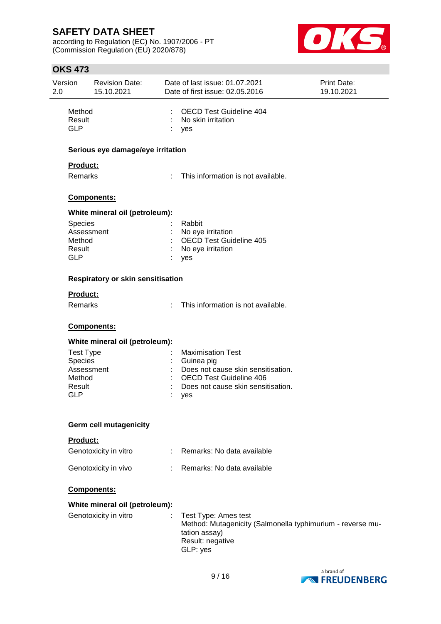according to Regulation (EC) No. 1907/2006 - PT (Commission Regulation (EU) 2020/878)



| <b>OKS 473</b> |                                          |    |                                    |             |
|----------------|------------------------------------------|----|------------------------------------|-------------|
| Version        | <b>Revision Date:</b>                    |    | Date of last issue: 01.07.2021     | Print Date: |
| 2.0            | 15.10.2021                               |    | Date of first issue: 02.05.2016    | 19.10.2021  |
| Method         |                                          |    | <b>OECD Test Guideline 404</b>     |             |
| Result         |                                          |    | No skin irritation                 |             |
| <b>GLP</b>     |                                          |    | yes                                |             |
|                | Serious eye damage/eye irritation        |    |                                    |             |
|                |                                          |    |                                    |             |
| Product:       |                                          |    |                                    |             |
| <b>Remarks</b> |                                          | ÷  | This information is not available. |             |
|                | Components:                              |    |                                    |             |
|                | White mineral oil (petroleum):           |    |                                    |             |
| <b>Species</b> |                                          |    | Rabbit                             |             |
|                | Assessment                               |    | No eye irritation                  |             |
| Method         |                                          |    | <b>OECD Test Guideline 405</b>     |             |
| Result         |                                          |    | No eye irritation                  |             |
| <b>GLP</b>     |                                          |    | yes                                |             |
|                | <b>Respiratory or skin sensitisation</b> |    |                                    |             |
| Product:       |                                          |    |                                    |             |
| Remarks        |                                          | ÷. | This information is not available. |             |
|                | Components:                              |    |                                    |             |
|                |                                          |    |                                    |             |
| Toet Time      | White mineral oil (petroleum):           |    | and the Movimication Tost          |             |
|                |                                          |    |                                    |             |

| Test Type      | : Maximisation Test                  |
|----------------|--------------------------------------|
| <b>Species</b> | $\therefore$ Guinea pig              |
| Assessment     | : Does not cause skin sensitisation. |
| Method         | : OECD Test Guideline 406            |
| Result         | : Does not cause skin sensitisation. |
| GLP            | : yes                                |

#### **Germ cell mutagenicity**

#### **Product:**

| Genotoxicity in vitro | Remarks: No data available |
|-----------------------|----------------------------|
| Genotoxicity in vivo  | Remarks: No data available |

#### **Components:**

### **White mineral oil (petroleum):**

| Genotoxicity in vitro | : Test Type: Ames test<br>Method: Mutagenicity (Salmonella typhimurium - reverse mu-<br>tation assay)<br>Result: negative |
|-----------------------|---------------------------------------------------------------------------------------------------------------------------|
|                       |                                                                                                                           |
|                       | GLP: ves                                                                                                                  |

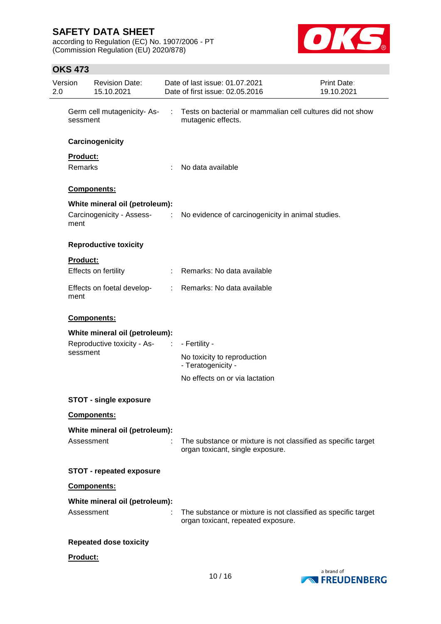according to Regulation (EC) No. 1907/2006 - PT (Commission Regulation (EU) 2020/878)



### **OKS 473**

| Version<br>2.0 | <b>Revision Date:</b><br>15.10.2021     |   | Date of last issue: 01.07.2021<br>Date of first issue: 02.05.2016                                   | Print Date:<br>19.10.2021 |
|----------------|-----------------------------------------|---|-----------------------------------------------------------------------------------------------------|---------------------------|
|                | Germ cell mutagenicity-As-<br>sessment  | ÷ | Tests on bacterial or mammalian cell cultures did not show<br>mutagenic effects.                    |                           |
|                | Carcinogenicity                         |   |                                                                                                     |                           |
|                | Product:                                |   |                                                                                                     |                           |
|                | Remarks                                 |   | No data available                                                                                   |                           |
|                | Components:                             |   |                                                                                                     |                           |
|                | White mineral oil (petroleum):          |   |                                                                                                     |                           |
| ment           |                                         |   | Carcinogenicity - Assess- : No evidence of carcinogenicity in animal studies.                       |                           |
|                | <b>Reproductive toxicity</b>            |   |                                                                                                     |                           |
|                | <b>Product:</b>                         |   |                                                                                                     |                           |
|                | Effects on fertility                    |   | : Remarks: No data available                                                                        |                           |
| ment           | Effects on foetal develop-              |   | : Remarks: No data available                                                                        |                           |
|                | Components:                             |   |                                                                                                     |                           |
|                | White mineral oil (petroleum):          |   |                                                                                                     |                           |
|                | Reproductive toxicity - As-<br>sessment | ÷ | - Fertility -                                                                                       |                           |
|                |                                         |   | No toxicity to reproduction<br>- Teratogenicity -                                                   |                           |
|                |                                         |   | No effects on or via lactation                                                                      |                           |
|                | <b>STOT - single exposure</b>           |   |                                                                                                     |                           |
|                | <b>Components:</b>                      |   |                                                                                                     |                           |
|                | White mineral oil (petroleum):          |   |                                                                                                     |                           |
|                | Assessment                              |   | The substance or mixture is not classified as specific target<br>organ toxicant, single exposure.   |                           |
|                | <b>STOT - repeated exposure</b>         |   |                                                                                                     |                           |
|                | Components:                             |   |                                                                                                     |                           |
|                | White mineral oil (petroleum):          |   |                                                                                                     |                           |
|                | Assessment                              |   | The substance or mixture is not classified as specific target<br>organ toxicant, repeated exposure. |                           |
|                | <b>Repeated dose toxicity</b>           |   |                                                                                                     |                           |
|                | Product:                                |   |                                                                                                     |                           |
|                |                                         |   |                                                                                                     |                           |

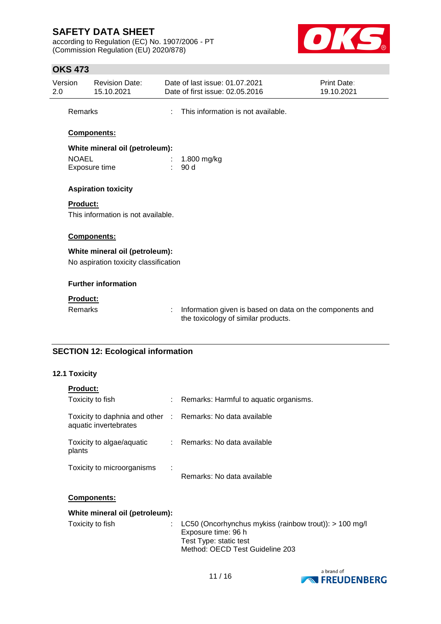according to Regulation (EC) No. 1907/2006 - PT (Commission Regulation (EU) 2020/878)



### **OKS 473**

| Version<br>2.0 |                | <b>Revision Date:</b><br>15.10.2021   |    | Date of last issue: 01.07.2021<br>Date of first issue: 02.05.2016                               | Print Date:<br>19.10.2021 |
|----------------|----------------|---------------------------------------|----|-------------------------------------------------------------------------------------------------|---------------------------|
|                | Remarks        |                                       | ٠  | This information is not available.                                                              |                           |
|                |                | Components:                           |    |                                                                                                 |                           |
|                |                | White mineral oil (petroleum):        |    |                                                                                                 |                           |
|                | <b>NOAEL</b>   |                                       |    | 1.800 mg/kg                                                                                     |                           |
|                |                | Exposure time                         | ÷. | 90 d                                                                                            |                           |
|                |                | <b>Aspiration toxicity</b>            |    |                                                                                                 |                           |
|                | Product:       |                                       |    |                                                                                                 |                           |
|                |                | This information is not available.    |    |                                                                                                 |                           |
|                |                | Components:                           |    |                                                                                                 |                           |
|                |                | White mineral oil (petroleum):        |    |                                                                                                 |                           |
|                |                | No aspiration toxicity classification |    |                                                                                                 |                           |
|                |                | <b>Further information</b>            |    |                                                                                                 |                           |
|                | Product:       |                                       |    |                                                                                                 |                           |
|                | <b>Remarks</b> |                                       | ÷  | Information given is based on data on the components and<br>the toxicology of similar products. |                           |
|                |                |                                       |    |                                                                                                 |                           |

# **SECTION 12: Ecological information**

### **12.1 Toxicity**

| <b>Product:</b>                                                                     |                                                                                                                                            |
|-------------------------------------------------------------------------------------|--------------------------------------------------------------------------------------------------------------------------------------------|
| Toxicity to fish                                                                    | Remarks: Harmful to aquatic organisms.                                                                                                     |
| Toxicity to daphnia and other : Remarks: No data available<br>aquatic invertebrates |                                                                                                                                            |
| Toxicity to algae/aquatic<br>plants                                                 | : Remarks: No data available                                                                                                               |
| Toxicity to microorganisms                                                          | Remarks: No data available                                                                                                                 |
| <b>Components:</b>                                                                  |                                                                                                                                            |
| White mineral oil (petroleum):                                                      |                                                                                                                                            |
| Toxicity to fish                                                                    | LC50 (Oncorhynchus mykiss (rainbow trout)): > 100 mg/l<br>Exposure time: 96 h<br>Test Type: static test<br>Method: OECD Test Guideline 203 |

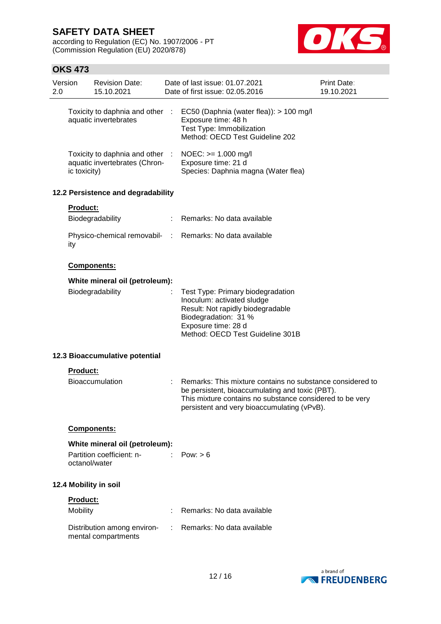according to Regulation (EC) No. 1907/2006 - PT (Commission Regulation (EU) 2020/878)



### **OKS 473**

| Version<br>2.0 |                 | <b>Revision Date:</b><br>15.10.2021                              | Date of last issue: 01.07.2021<br>Date of first issue: 02.05.2016                                                                                                                                                       | Print Date:<br>19.10.2021 |
|----------------|-----------------|------------------------------------------------------------------|-------------------------------------------------------------------------------------------------------------------------------------------------------------------------------------------------------------------------|---------------------------|
|                |                 | Toxicity to daphnia and other :<br>aquatic invertebrates         | EC50 (Daphnia (water flea)): > 100 mg/l<br>Exposure time: 48 h<br>Test Type: Immobilization<br>Method: OECD Test Guideline 202                                                                                          |                           |
|                | ic toxicity)    | Toxicity to daphnia and other :<br>aquatic invertebrates (Chron- | $NOEC: == 1.000$ mg/l<br>Exposure time: 21 d<br>Species: Daphnia magna (Water flea)                                                                                                                                     |                           |
|                |                 | 12.2 Persistence and degradability                               |                                                                                                                                                                                                                         |                           |
|                | <b>Product:</b> | Biodegradability                                                 | Remarks: No data available                                                                                                                                                                                              |                           |
|                | ity             |                                                                  | Physico-chemical removabil- : Remarks: No data available                                                                                                                                                                |                           |
|                |                 | Components:                                                      |                                                                                                                                                                                                                         |                           |
|                |                 | White mineral oil (petroleum):                                   |                                                                                                                                                                                                                         |                           |
|                |                 | Biodegradability                                                 | Test Type: Primary biodegradation<br>Inoculum: activated sludge<br>Result: Not rapidly biodegradable<br>Biodegradation: 31 %<br>Exposure time: 28 d<br>Method: OECD Test Guideline 301B                                 |                           |
|                |                 | 12.3 Bioaccumulative potential                                   |                                                                                                                                                                                                                         |                           |
|                | <b>Product:</b> | <b>Bioaccumulation</b>                                           | Remarks: This mixture contains no substance considered to<br>be persistent, bioaccumulating and toxic (PBT).<br>This mixture contains no substance considered to be very<br>persistent and very bioaccumulating (vPvB). |                           |
|                |                 | <b>Components:</b>                                               |                                                                                                                                                                                                                         |                           |
|                |                 | White mineral oil (petroleum):                                   |                                                                                                                                                                                                                         |                           |
|                | octanol/water   | Partition coefficient: n-                                        | Pow: > 6                                                                                                                                                                                                                |                           |
|                |                 | 12.4 Mobility in soil                                            |                                                                                                                                                                                                                         |                           |
|                | Product:        |                                                                  |                                                                                                                                                                                                                         |                           |
|                | Mobility        |                                                                  | Remarks: No data available                                                                                                                                                                                              |                           |
|                |                 | Distribution among environ-<br>mental compartments               | : Remarks: No data available                                                                                                                                                                                            |                           |
|                |                 |                                                                  |                                                                                                                                                                                                                         |                           |

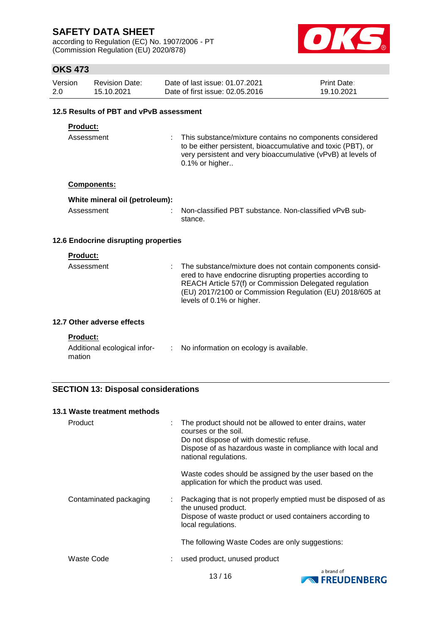according to Regulation (EC) No. 1907/2006 - PT (Commission Regulation (EU) 2020/878)



### **OKS 473**

| Version | Revision Date: | Date of last issue: 01.07.2021  | <b>Print Date:</b> |
|---------|----------------|---------------------------------|--------------------|
| 2.0     | 15.10.2021     | Date of first issue: 02.05.2016 | 19.10.2021         |

### **12.5 Results of PBT and vPvB assessment**

### **Product:**

Assessment : This substance/mixture contains no components considered to be either persistent, bioaccumulative and toxic (PBT), or very persistent and very bioaccumulative (vPvB) at levels of 0.1% or higher..

#### **Components:**

| White mineral oil (petroleum): |                                                                   |
|--------------------------------|-------------------------------------------------------------------|
| Assessment                     | Non-classified PBT substance. Non-classified vPvB sub-<br>stance. |

#### **12.6 Endocrine disrupting properties**

#### **Product:**

| Assessment | : The substance/mixture does not contain components consid-<br>ered to have endocrine disrupting properties according to<br>REACH Article 57(f) or Commission Delegated regulation<br>(EU) 2017/2100 or Commission Regulation (EU) 2018/605 at<br>levels of 0.1% or higher. |
|------------|-----------------------------------------------------------------------------------------------------------------------------------------------------------------------------------------------------------------------------------------------------------------------------|
|            |                                                                                                                                                                                                                                                                             |

### **12.7 Other adverse effects**

#### **Product:**

| Additional ecological infor- | No information on ecology is available. |
|------------------------------|-----------------------------------------|
| mation                       |                                         |

### **SECTION 13: Disposal considerations**

| 13.1 Waste treatment methods |   |                                                                                                                                                                                                                    |
|------------------------------|---|--------------------------------------------------------------------------------------------------------------------------------------------------------------------------------------------------------------------|
| Product                      | ÷ | The product should not be allowed to enter drains, water<br>courses or the soil.<br>Do not dispose of with domestic refuse.<br>Dispose of as hazardous waste in compliance with local and<br>national regulations. |
|                              |   | Waste codes should be assigned by the user based on the<br>application for which the product was used.                                                                                                             |
| Contaminated packaging       | ÷ | Packaging that is not properly emptied must be disposed of as<br>the unused product.<br>Dispose of waste product or used containers according to<br>local regulations.                                             |
|                              |   | The following Waste Codes are only suggestions:                                                                                                                                                                    |
| Waste Code                   |   | used product, unused product                                                                                                                                                                                       |

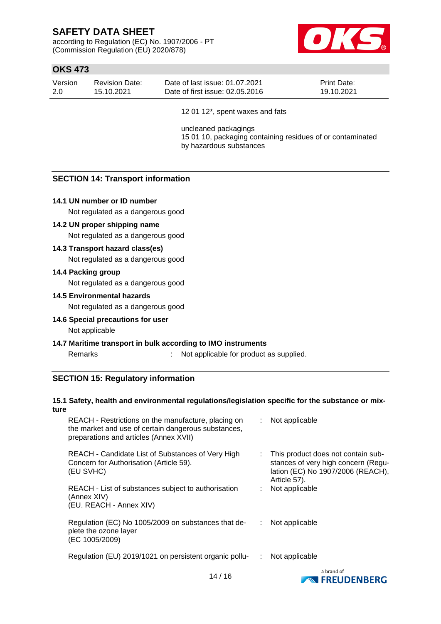according to Regulation (EC) No. 1907/2006 - PT (Commission Regulation (EU) 2020/878)



### **OKS 473**

| Version | <b>Revision Date:</b> | Date of last issue: 01.07.2021  | <b>Print Date:</b> |
|---------|-----------------------|---------------------------------|--------------------|
| -2.0    | 15.10.2021            | Date of first issue: 02.05.2016 | 19.10.2021         |
|         |                       |                                 |                    |

12 01 12\*, spent waxes and fats

uncleaned packagings 15 01 10, packaging containing residues of or contaminated by hazardous substances

### **SECTION 14: Transport information**

#### **14.1 UN number or ID number**

Not regulated as a dangerous good

#### **14.2 UN proper shipping name**

Not regulated as a dangerous good

#### **14.3 Transport hazard class(es)**

Not regulated as a dangerous good

#### **14.4 Packing group**

Not regulated as a dangerous good

#### **14.5 Environmental hazards**

Not regulated as a dangerous good

#### **14.6 Special precautions for user**

Not applicable

#### **14.7 Maritime transport in bulk according to IMO instruments**

# Remarks : Not applicable for product as supplied.

### **SECTION 15: Regulatory information**

#### **15.1 Safety, health and environmental regulations/legislation specific for the substance or mixture**

| REACH - Restrictions on the manufacture, placing on<br>the market and use of certain dangerous substances,<br>preparations and articles (Annex XVII) | : Not applicable                                                                                                               |
|------------------------------------------------------------------------------------------------------------------------------------------------------|--------------------------------------------------------------------------------------------------------------------------------|
| REACH - Candidate List of Substances of Very High<br>Concern for Authorisation (Article 59).<br>(EU SVHC)                                            | This product does not contain sub-<br>stances of very high concern (Regu-<br>lation (EC) No 1907/2006 (REACH),<br>Article 57). |
| REACH - List of substances subject to authorisation<br>(Annex XIV)<br>(EU. REACH - Annex XIV)                                                        | Not applicable                                                                                                                 |
| Regulation (EC) No 1005/2009 on substances that de-<br>plete the ozone layer<br>(EC 1005/2009)                                                       | Not applicable                                                                                                                 |
| Regulation (EU) 2019/1021 on persistent organic pollu-                                                                                               | Not applicable                                                                                                                 |

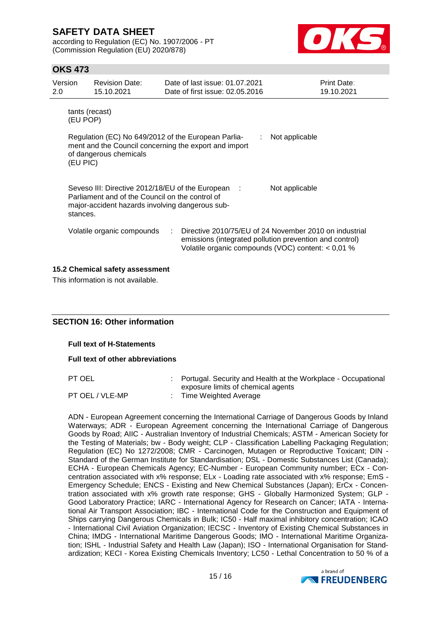according to Regulation (EC) No. 1907/2006 - PT (Commission Regulation (EU) 2020/878)



### **OKS 473**

| Version<br>2.0                                                                                                                                                                                          | <b>Revision Date:</b><br>15.10.2021                                                                                                                                                    | Date of last issue: 01.07.2021<br>Date of first issue: 02.05.2016 | Print Date:<br>19.10.2021 |  |  |  |
|---------------------------------------------------------------------------------------------------------------------------------------------------------------------------------------------------------|----------------------------------------------------------------------------------------------------------------------------------------------------------------------------------------|-------------------------------------------------------------------|---------------------------|--|--|--|
|                                                                                                                                                                                                         | tants (recast)<br>(EU POP)<br>Regulation (EC) No 649/2012 of the European Parlia-<br>Not applicable<br>ment and the Council concerning the export and import<br>of dangerous chemicals |                                                                   |                           |  |  |  |
| (EU PIC)<br>Seveso III: Directive 2012/18/EU of the European :<br>Not applicable<br>Parliament and of the Council on the control of<br>major-accident hazards involving dangerous sub-<br>stances.      |                                                                                                                                                                                        |                                                                   |                           |  |  |  |
| Directive 2010/75/EU of 24 November 2010 on industrial<br>Volatile organic compounds<br>emissions (integrated pollution prevention and control)<br>Volatile organic compounds (VOC) content: $< 0.01$ % |                                                                                                                                                                                        |                                                                   |                           |  |  |  |
| 15.2 Chemical safety assessment                                                                                                                                                                         |                                                                                                                                                                                        |                                                                   |                           |  |  |  |

This information is not available.

#### **SECTION 16: Other information**

**Full text of H-Statements**

**Full text of other abbreviations**

PT OEL : Portugal. Security and Health at the Workplace - Occupational exposure limits of chemical agents

PT OEL / VLE-MP : Time Weighted Average

ADN - European Agreement concerning the International Carriage of Dangerous Goods by Inland Waterways; ADR - European Agreement concerning the International Carriage of Dangerous Goods by Road; AIIC - Australian Inventory of Industrial Chemicals; ASTM - American Society for the Testing of Materials; bw - Body weight; CLP - Classification Labelling Packaging Regulation; Regulation (EC) No 1272/2008; CMR - Carcinogen, Mutagen or Reproductive Toxicant; DIN - Standard of the German Institute for Standardisation; DSL - Domestic Substances List (Canada); ECHA - European Chemicals Agency; EC-Number - European Community number; ECx - Concentration associated with x% response; ELx - Loading rate associated with x% response; EmS - Emergency Schedule; ENCS - Existing and New Chemical Substances (Japan); ErCx - Concentration associated with x% growth rate response; GHS - Globally Harmonized System; GLP - Good Laboratory Practice; IARC - International Agency for Research on Cancer; IATA - International Air Transport Association; IBC - International Code for the Construction and Equipment of Ships carrying Dangerous Chemicals in Bulk; IC50 - Half maximal inhibitory concentration; ICAO - International Civil Aviation Organization; IECSC - Inventory of Existing Chemical Substances in China; IMDG - International Maritime Dangerous Goods; IMO - International Maritime Organization; ISHL - Industrial Safety and Health Law (Japan); ISO - International Organisation for Standardization; KECI - Korea Existing Chemicals Inventory; LC50 - Lethal Concentration to 50 % of a